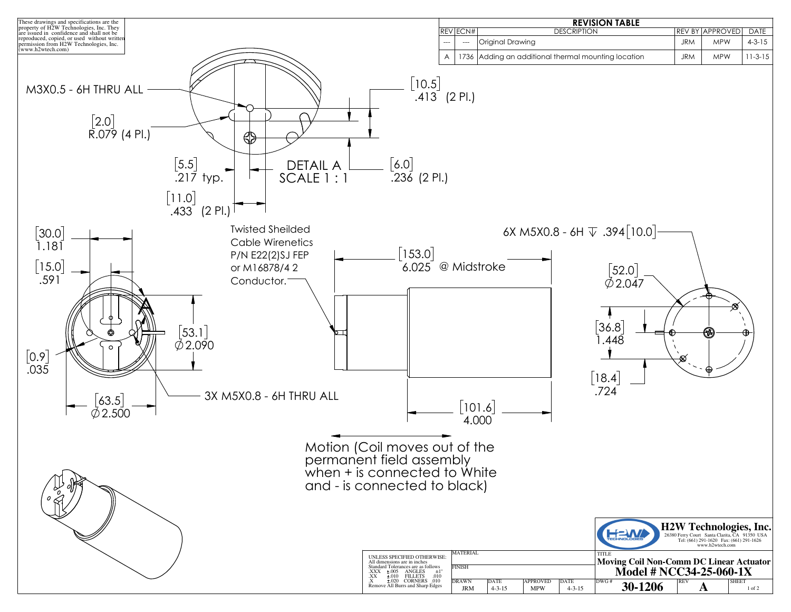